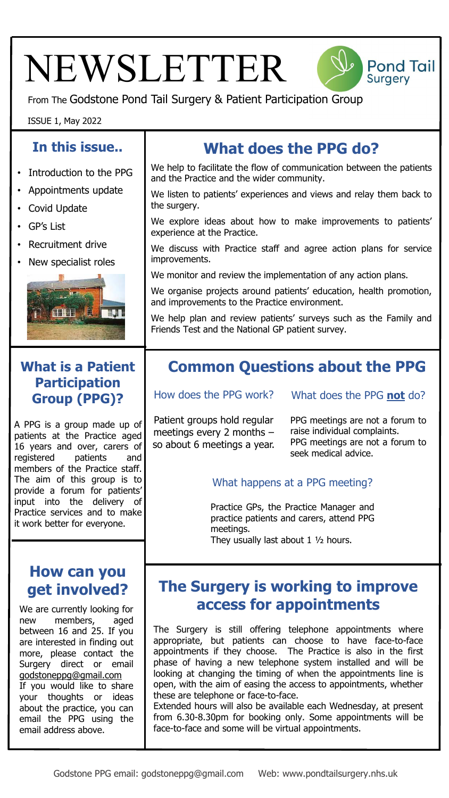# NEWSLETTER



**Pond Tail** 

**Surgery** 

### ISSUE 1, May 2022

#### **In this issue.. What does the PPG do?**  We help to facilitate the flow of communication between the patients • Introduction to the PPG and the Practice and the wider community. • Appointments update We listen to patients' experiences and views and relay them back to the surgery. • Covid Update We explore ideas about how to make improvements to patients' • GP's List experience at the Practice. • Recruitment drive We discuss with Practice staff and agree action plans for service improvements. • New specialist roles We monitor and review the implementation of any action plans. We organise projects around patients' education, health promotion, and improvements to the Practice environment. HATTH We help plan and review patients' surveys such as the Family and Friends Test and the National GP patient survey. **What is a Patient Common Questions about the PPG Participation**  How does the PPG work? What does the PPG **not** do? **Group (PPG)?** Patient groups hold regular PPG meetings are not a forum to A PPG is a group made up of meetings every 2 months – raise individual complaints. patients at the Practice aged PPG meetings are not a forum to so about 6 meetings a year. 16 years and over, carers of seek medical advice. registered patients and members of the Practice staff. The aim of this group is to What happens at a PPG meeting? provide a forum for patients' input into the delivery of Practice GPs, the Practice Manager and Practice services and to make practice patients and carers, attend PPG it work better for everyone. meetings. They usually last about  $1 \frac{1}{2}$  hours. **How can you The Surgery is working to improve get involved? access for appointments** We are currently looking for new members, aged The Surgery is still offering telephone appointments where between 16 and 25. If you appropriate, but patients can choose to have face-to-face are interested in finding out appointments if they choose. The Practice is also in the first more, please contact the phase of having a new telephone system installed and will be Surgery direct or email looking at changing the timing of when the appointments line is godstoneppg@gmail.com open, with the aim of easing the access to appointments, whether If you would like to share these are telephone or face-to-face. your thoughts or ideas Extended hours will also be available each Wednesday, at present about the practice, you can from 6.30-8.30pm for booking only. Some appointments will be email the PPG using the face-to-face and some will be virtual appointments. email address above.